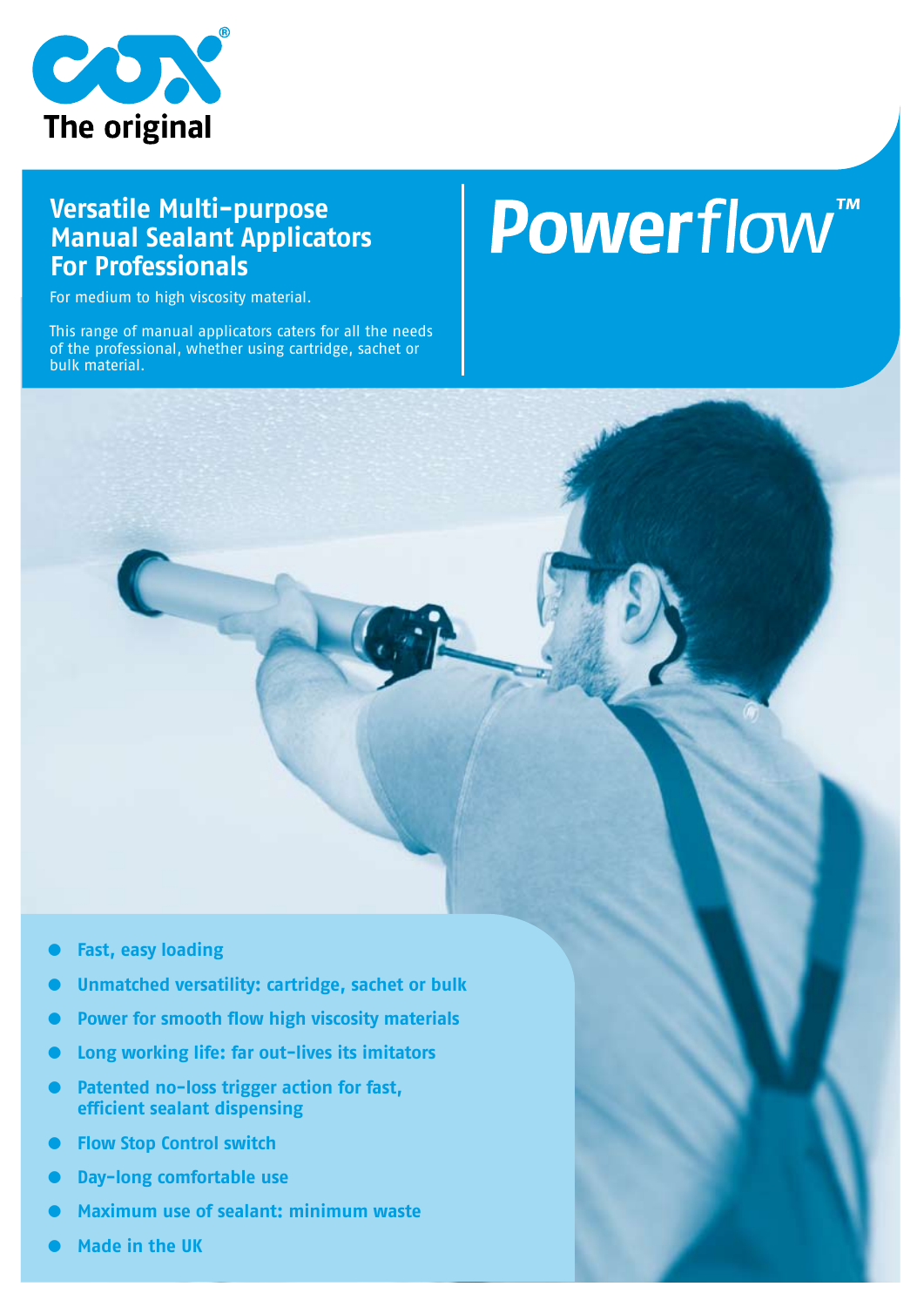

### **Versatile Multi-purpose Manual Sealant Applicators For Professionals**

For medium to high viscosity material.

This range of manual applicators caters for all the needs of the professional, whether using cartridge, sachet or bulk material.

# Powerflow<sup>"</sup>



- **● Unmatched versatility: cartridge, sachet or bulk**
- **● Power for smooth flow high viscosity materials**
- **● Long working life: far out-lives its imitators**
- **Patented no-loss trigger action for fast, efficient sealant dispensing**
- **● Flow Stop Control switch**
- **● Day-long comfortable use**
- **● Maximum use of sealant: minimum waste**
- **● Made in the UK**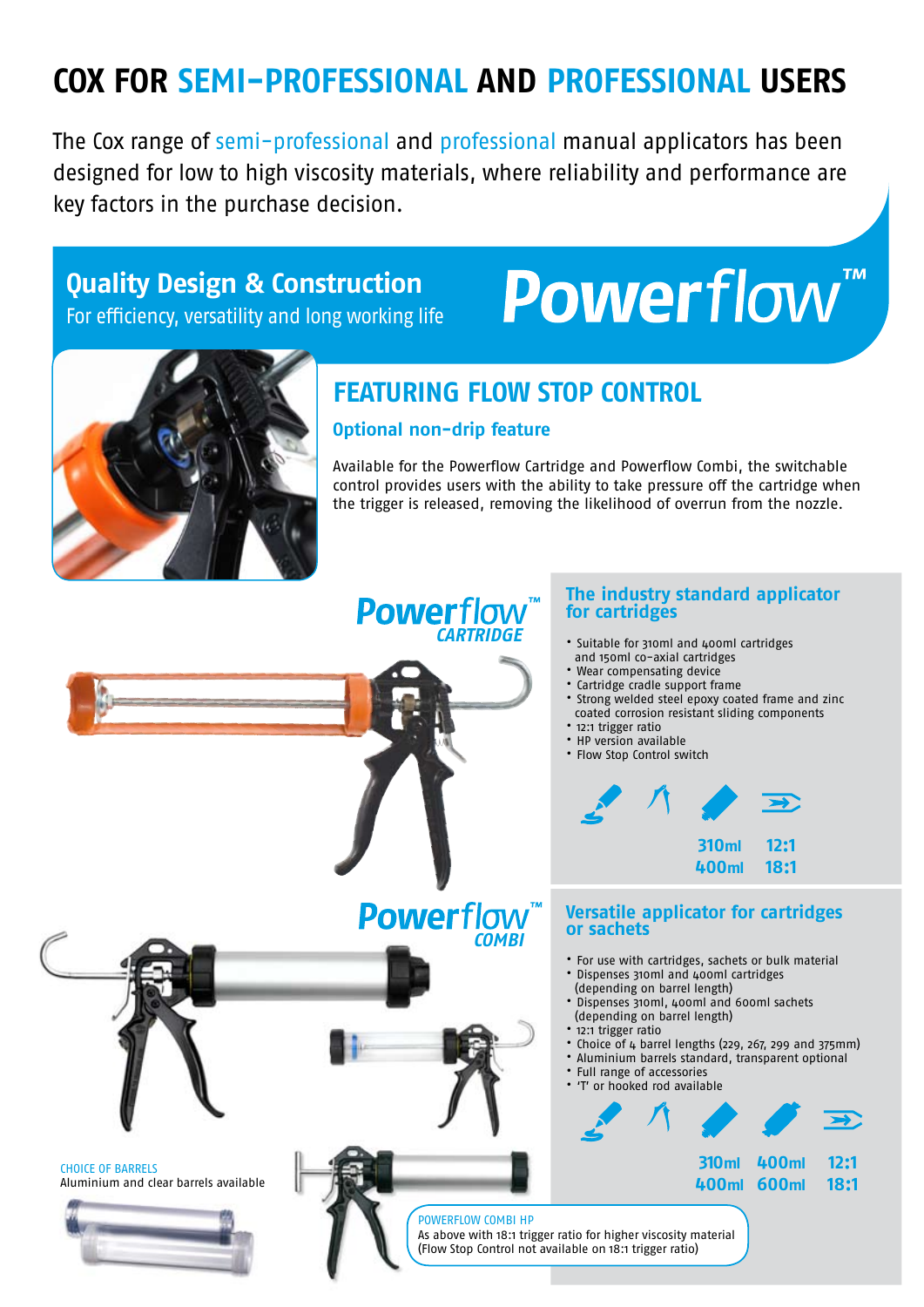## **COX FOR SEMI-PROFESSIONAL AND PROFESSIONAL USERS**

The Cox range of semi-professional and professional manual applicators has been designed for low to high viscosity materials, where reliability and performance are key factors in the purchase decision.

## **Quality Design & Construction**

For efficiency, versatility and long working life

# Powerflow<sup>"</sup>



## **featuring Flow Stop Control**

#### **Optional non-drip feature**

Available for the Powerflow Cartridge and Powerflow Combi, the switchable control provides users with the ability to take pressure off the cartridge when the trigger is released, removing the likelihood of overrun from the nozzle.

### **Powerflow CARTRIDGE**

#### **The industry standard applicator for cartridges**

- Suitable for 310ml and 400ml cartridges and 150ml co-axial cartridges
- Wear compensating device
- Cartridge cradle support frame
- Strong welded steel epoxy coated frame and zinc coated corrosion resistant sliding components
- 12:1 trigger ratio
- HP version available • Flow Stop Control switch



#### **400ml 18:1**

#### **Powerflow**" **Versatile applicator for cartridges or sachets**

- For use with cartridges, sachets or bulk material
- Dispenses 310ml and 400ml cartridges
- (depending on barrel length) • Dispenses 310ml, 400ml and 600ml sachets (depending on barrel length)
- 12:1 trigger ratio
- Choice of 4 barrel lengths (229, 267, 299 and 375mm)
- Aluminium barrels standard, transparent optional
- Full range of accessories



**400ml 600ml 18:1**

Aluminium and clear barrels available

CHOICE OF BARRELS

POWERFLOW COMBI HP As above with 18:1 trigger ratio for higher viscosity material

**COMBI**

(Flow Stop Control not available on 18:1 trigger ratio)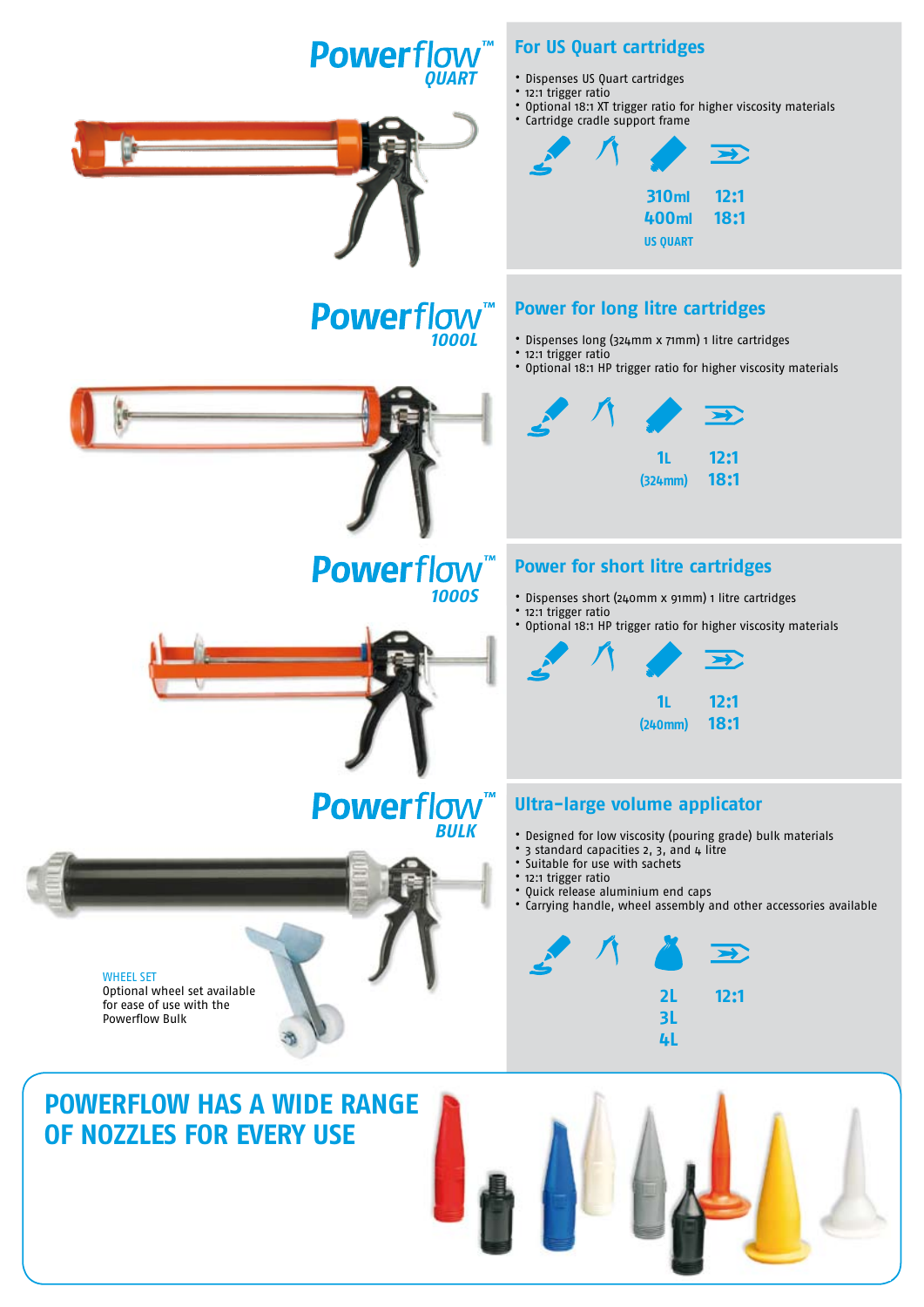